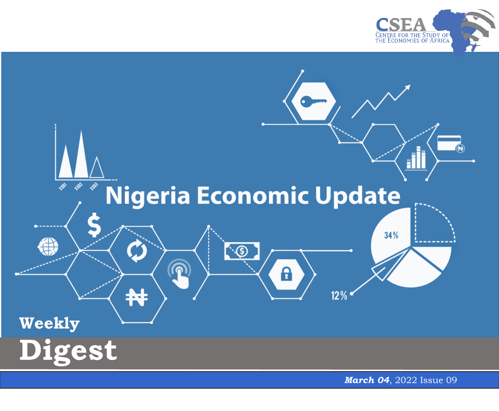



*March 04*, 2022 Issue 0 9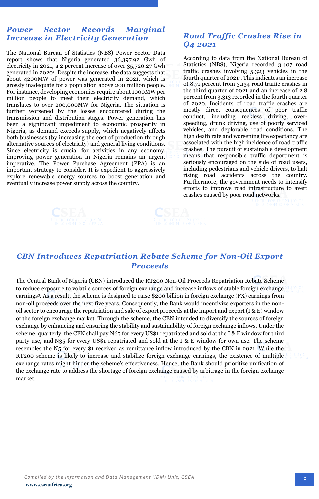## *Power Sector Records Marginal Increase in Electricity Generation*

The National Bureau of Statistics (NBS) Power Sector Data report shows that Nigeria generated 36,397.92 Gwh of electricity in 2021, a 2 percent increase of over 35,720.27 Gwh generated in [2020](https://nigerianstat.gov.ng/elibrary/read/1241144)<sup>1</sup> . Despite the increase, the data suggests that about 4200MW of power was generated in 2021, which is grossly inadequate for a population above 200 million people. For instance, developing economies require about 1000MW per million people to meet their electricity demand, which translates to over 200,000MW for Nigeria. The situation is further worsened by the losses encountered during the transmission and distribution stages. Power generation has been a significant impediment to economic prosperity in Nigeria, as demand exceeds supply, which negatively affects both businesses (by increasing the cost of production through alternative sources of electricity) and general living conditions. Since electricity is crucial for activities in any economy, improving power generation in Nigeria remains an urgent imperative. The Power Purchase Agreement (PPA) is an important strategy to consider. It is expedient to aggressively explore renewable energy sources to boost generation and eventually increase power supply across the country.

## *Road Traffic Crashes Rise in Q4 2021*

According to data from the National Bureau of Statistics (NBS), Nigeria recorded 3,407 road traffic crashes involving 5,323 vehicles in the fourth quarter of 2021<sup>2</sup> . This indicates an increase of 8.71 percent from 3,134 road traffic crashes in the third quarter of 2021 and an increase of 2.8 percent from 3,313 recorded in the fourth quarter of 2020. Incidents of road traffic crashes are mostly direct consequences of poor traffic conduct, including reckless driving, overspeeding, drunk driving, use of poorly serviced vehicles, and deplorable road conditions. The high death rate and worsening life expectancy are associated with the high incidence of road traffic crashes. The pursuit of sustainable development means that responsible traffic deportment is seriously encouraged on the side of road users, including pedestrians and vehicle drivers, to halt rising road accidents across the country. Furthermore, the government needs to intensify efforts to improve road infrastructure to avert crashes caused by poor road networks.

## *CBN Introduces Repatriation Rebate Scheme for Non-Oil Export Proceeds*

 scheme, quarterly, the CBN shall pay N65 for every US\$1 repatriated and sold at the I & E window for third The Central Bank of Nigeria (CBN) introduced the RT200 Non-Oil Proceeds Repatriation Rebate Scheme to reduce exposure to volatile sources of foreign exchange and increase inflows of stable foreign exchange earnings<sup>3</sup> . As a result, the scheme is designed to raise \$200 billion in foreign exchange (FX) earnings from non-oil proceeds over the next five years. Consequently, the Bank would incentivize exporters in the nonoil sector to encourage the repatriation and sale of export proceeds at the import and export (I & E) window of the foreign exchange market. Through the scheme, the CBN intended to diversify the sources of foreign exchange by enhancing and ensuring the stability and sustainability of foreign exchange inflows. Under the party use, and N35 for every US\$1 repatriated and sold at the I & E window for own use. The scheme resembles the N5 for every \$1 received as remittance inflow introduced by the CBN in 2021. While the RT200 scheme is likely to increase and stabilize foreign exchange earnings, the existence of multiple exchange rates might hinder the scheme's effectiveness. Hence, the Bank should prioritize unification of the exchange rate to address the shortage of foreign exchange caused by arbitrage in the foreign exchange market.